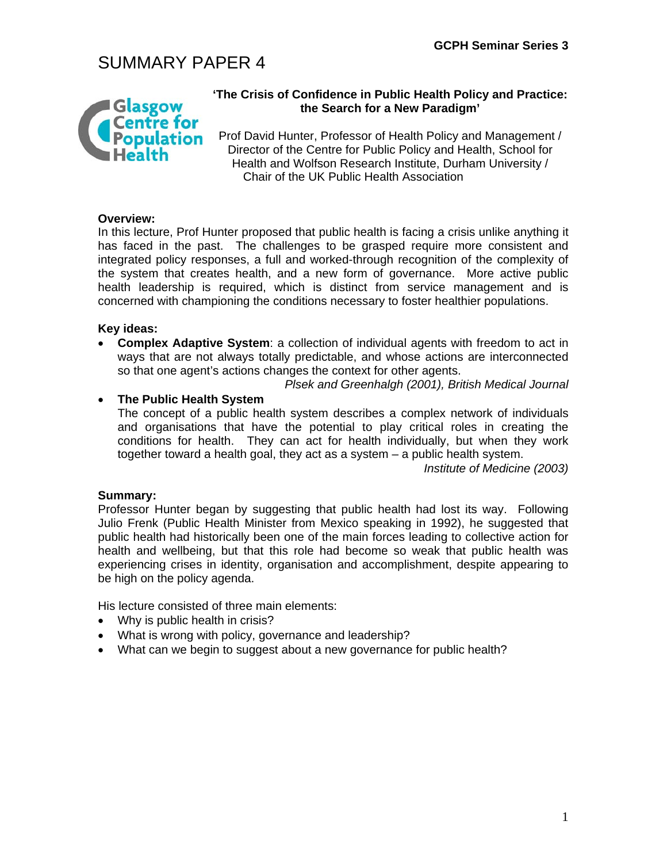# SUMMARY PAPER 4



### **'The Crisis of Confidence in Public Health Policy and Practice: the Search for a New Paradigm'**

Prof David Hunter, Professor of Health Policy and Management / Director of the Centre for Public Policy and Health, School for Health and Wolfson Research Institute, Durham University / Chair of the UK Public Health Association

### **Overview:**

In this lecture, Prof Hunter proposed that public health is facing a crisis unlike anything it has faced in the past. The challenges to be grasped require more consistent and integrated policy responses, a full and worked-through recognition of the complexity of the system that creates health, and a new form of governance. More active public health leadership is required, which is distinct from service management and is concerned with championing the conditions necessary to foster healthier populations.

### **Key ideas:**

• **Complex Adaptive System**: a collection of individual agents with freedom to act in ways that are not always totally predictable, and whose actions are interconnected so that one agent's actions changes the context for other agents.

*Plsek and Greenhalgh (2001), British Medical Journal* 

### • **The Public Health System**

The concept of a public health system describes a complex network of individuals and organisations that have the potential to play critical roles in creating the conditions for health. They can act for health individually, but when they work together toward a health goal, they act as a system – a public health system.

*Institute of Medicine (2003)* 

#### **Summary:**

Professor Hunter began by suggesting that public health had lost its way. Following Julio Frenk (Public Health Minister from Mexico speaking in 1992), he suggested that public health had historically been one of the main forces leading to collective action for health and wellbeing, but that this role had become so weak that public health was experiencing crises in identity, organisation and accomplishment, despite appearing to be high on the policy agenda.

His lecture consisted of three main elements:

- Why is public health in crisis?
- What is wrong with policy, governance and leadership?
- What can we begin to suggest about a new governance for public health?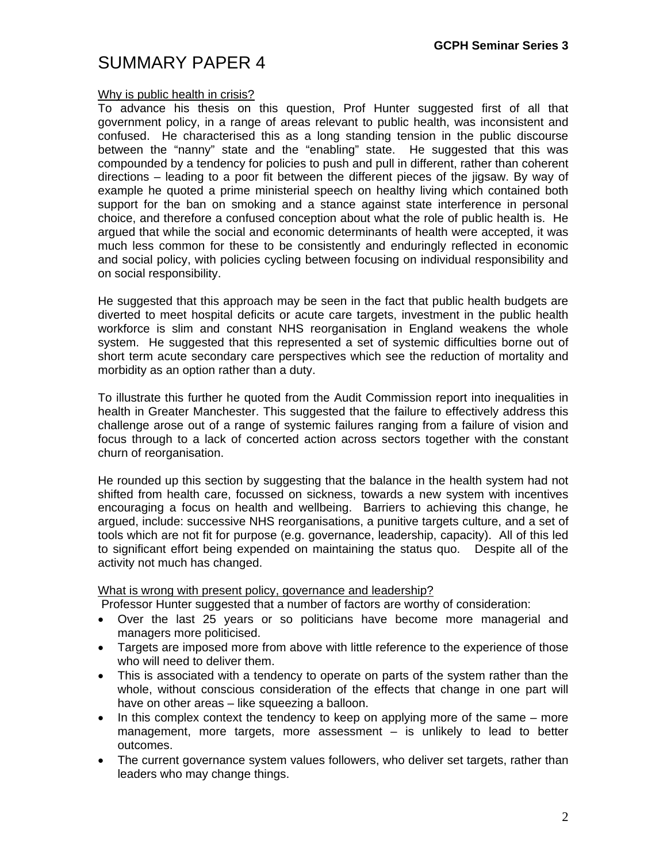## SUMMARY PAPER 4

### Why is public health in crisis?

To advance his thesis on this question, Prof Hunter suggested first of all that government policy, in a range of areas relevant to public health, was inconsistent and confused. He characterised this as a long standing tension in the public discourse between the "nanny" state and the "enabling" state. He suggested that this was compounded by a tendency for policies to push and pull in different, rather than coherent directions – leading to a poor fit between the different pieces of the jigsaw. By way of example he quoted a prime ministerial speech on healthy living which contained both support for the ban on smoking and a stance against state interference in personal choice, and therefore a confused conception about what the role of public health is. He argued that while the social and economic determinants of health were accepted, it was much less common for these to be consistently and enduringly reflected in economic and social policy, with policies cycling between focusing on individual responsibility and on social responsibility.

He suggested that this approach may be seen in the fact that public health budgets are diverted to meet hospital deficits or acute care targets, investment in the public health workforce is slim and constant NHS reorganisation in England weakens the whole system. He suggested that this represented a set of systemic difficulties borne out of short term acute secondary care perspectives which see the reduction of mortality and morbidity as an option rather than a duty.

To illustrate this further he quoted from the Audit Commission report into inequalities in health in Greater Manchester. This suggested that the failure to effectively address this challenge arose out of a range of systemic failures ranging from a failure of vision and focus through to a lack of concerted action across sectors together with the constant churn of reorganisation.

He rounded up this section by suggesting that the balance in the health system had not shifted from health care, focussed on sickness, towards a new system with incentives encouraging a focus on health and wellbeing. Barriers to achieving this change, he argued, include: successive NHS reorganisations, a punitive targets culture, and a set of tools which are not fit for purpose (e.g. governance, leadership, capacity). All of this led to significant effort being expended on maintaining the status quo. Despite all of the activity not much has changed.

#### What is wrong with present policy, governance and leadership?

Professor Hunter suggested that a number of factors are worthy of consideration:

- Over the last 25 years or so politicians have become more managerial and managers more politicised.
- Targets are imposed more from above with little reference to the experience of those who will need to deliver them.
- This is associated with a tendency to operate on parts of the system rather than the whole, without conscious consideration of the effects that change in one part will have on other areas – like squeezing a balloon.
- In this complex context the tendency to keep on applying more of the same more management, more targets, more assessment – is unlikely to lead to better outcomes.
- The current governance system values followers, who deliver set targets, rather than leaders who may change things.